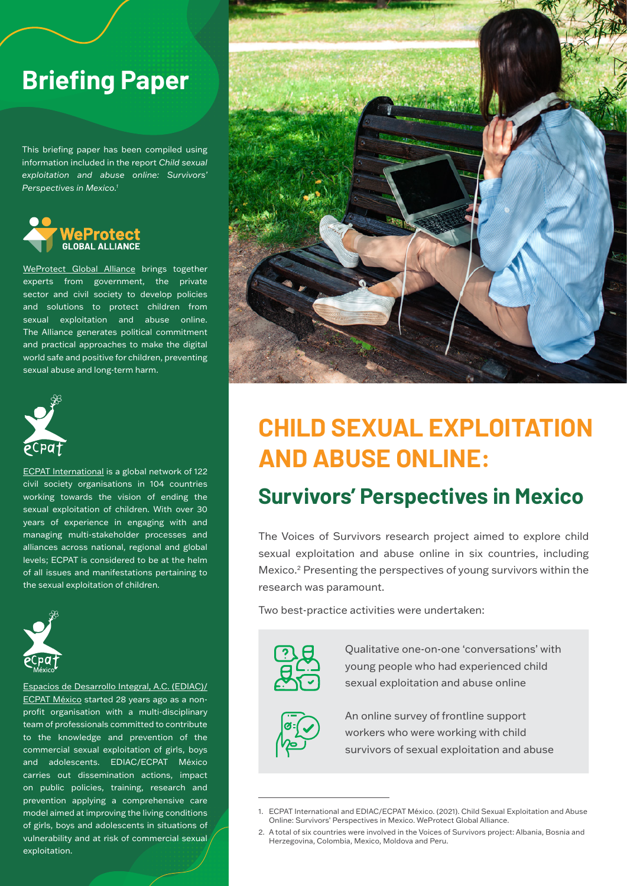# **Briefing Paper**

This briefing paper has been compiled using information included in the report *Child sexual exploitation and abuse online: Survivors' Perspectives in Mexico.1*



[WeProtect Global Alliance](https://www.weprotect.org/) brings together experts from government, the private sector and civil society to develop policies and solutions to protect children from sexual exploitation and abuse online. The Alliance generates political commitment and practical approaches to make the digital world safe and positive for children, preventing sexual abuse and long-term harm.



[ECPAT International](https://www.ecpat.org/) is a global network of 122 civil society organisations in 104 countries working towards the vision of ending the sexual exploitation of children. With over 30 years of experience in engaging with and managing multi-stakeholder processes and alliances across national, regional and global levels; ECPAT is considered to be at the helm of all issues and manifestations pertaining to the sexual exploitation of children.



[Espacios de Desarrollo Integral, A.C. \(EDIAC\)/](http://ecpatmexico.org.mx/) [ECPAT México](http://ecpatmexico.org.mx/) started 28 years ago as a nonprofit organisation with a multi-disciplinary team of professionals committed to contribute to the knowledge and prevention of the commercial sexual exploitation of girls, boys and adolescents. EDIAC/ECPAT México carries out dissemination actions, impact on public policies, training, research and prevention applying a comprehensive care model aimed at improving the living conditions of girls, boys and adolescents in situations of vulnerability and at risk of commercial sexual exploitation.



# **CHILD SEXUAL EXPLOITATION AND ABUSE ONLINE:**

## **Survivors' Perspectives in Mexico**

The Voices of Survivors research project aimed to explore child sexual exploitation and abuse online in six countries, including Mexico.2 Presenting the perspectives of young survivors within the research was paramount.

Two best-practice activities were undertaken:



Qualitative one-on-one 'conversations' with young people who had experienced child sexual exploitation and abuse online



An online survey of frontline support workers who were working with child survivors of sexual exploitation and abuse

<sup>1.</sup> ECPAT International and EDIAC/ECPAT México. (2021). Child Sexual Exploitation and Abuse Online: Survivors' Perspectives in Mexico. WeProtect Global Alliance.

<sup>2.</sup> A total of six countries were involved in the Voices of Survivors project: Albania, Bosnia and Herzegovina, Colombia, Mexico, Moldova and Peru.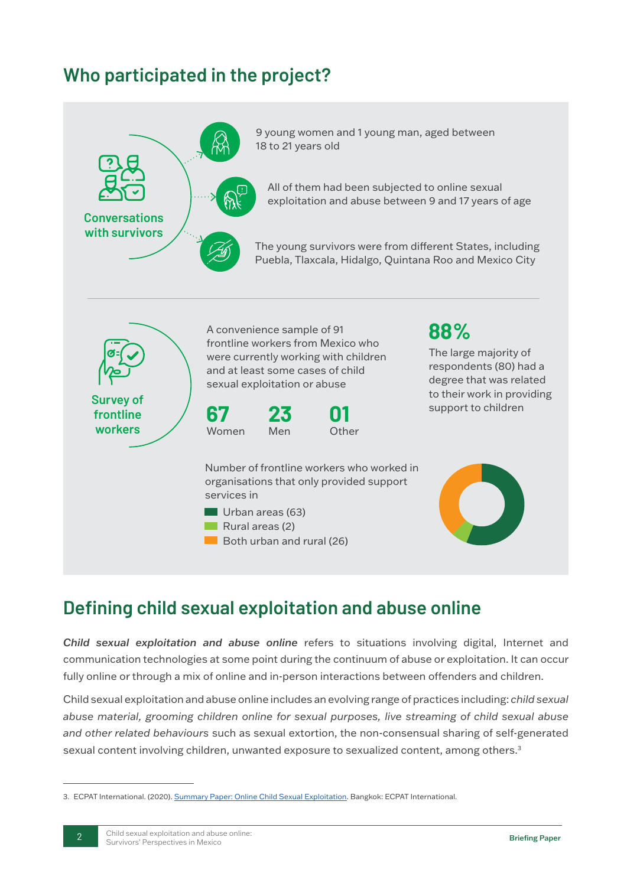## **Who participated in the project?**



### **Defining child sexual exploitation and abuse online**

*Child sexual exploitation and abuse online* refers to situations involving digital, Internet and communication technologies at some point during the continuum of abuse or exploitation. It can occur fully online or through a mix of online and in-person interactions between offenders and children.

Child sexual exploitation and abuse online includes an evolving range of practices including: *child sexual abuse material, grooming children online for sexual purposes, live streaming of child sexual abuse and other related behaviours* such as sexual extortion, the non-consensual sharing of self-generated sexual content involving children, unwanted exposure to sexualized content, among others.<sup>3</sup>

<sup>3.</sup> ECPAT International. (2020). [Summary Paper: Online Child Sexual Exploitation](https://www.ecpat.org/wp-content/uploads/2020/12/ECPAT-Summary-paper-on-Online-Child-Sexual-Exploitation-2020.pdf). Bangkok: ECPAT International.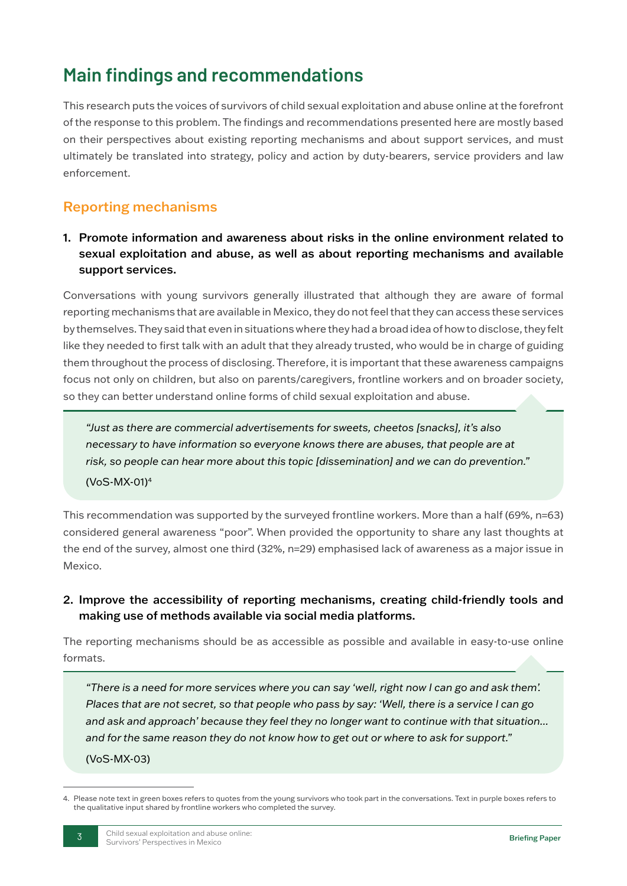# **Main findings and recommendations**

This research puts the voices of survivors of child sexual exploitation and abuse online at the forefront of the response to this problem. The findings and recommendations presented here are mostly based on their perspectives about existing reporting mechanisms and about support services, and must ultimately be translated into strategy, policy and action by duty-bearers, service providers and law enforcement.

### Reporting mechanisms

1. Promote information and awareness about risks in the online environment related to sexual exploitation and abuse, as well as about reporting mechanisms and available support services.

Conversations with young survivors generally illustrated that although they are aware of formal reporting mechanisms that are available in Mexico, they do not feel that they can access these services by themselves. They said that even in situations where they had a broad idea of how to disclose, they felt like they needed to first talk with an adult that they already trusted, who would be in charge of guiding them throughout the process of disclosing. Therefore, it is important that these awareness campaigns focus not only on children, but also on parents/caregivers, frontline workers and on broader society, so they can better understand online forms of child sexual exploitation and abuse.

*"Just as there are commercial advertisements for sweets, cheetos [snacks], it's also necessary to have information so everyone knows there are abuses, that people are at risk, so people can hear more about this topic [dissemination] and we can do prevention."*  (VoS-MX-01)4

This recommendation was supported by the surveyed frontline workers. More than a half (69%, n=63) considered general awareness "poor". When provided the opportunity to share any last thoughts at the end of the survey, almost one third (32%, n=29) emphasised lack of awareness as a major issue in Mexico.

2. Improve the accessibility of reporting mechanisms, creating child-friendly tools and making use of methods available via social media platforms.

The reporting mechanisms should be as accessible as possible and available in easy-to-use online formats.

*"There is a need for more services where you can say 'well, right now I can go and ask them'. Places that are not secret, so that people who pass by say: 'Well, there is a service I can go and ask and approach' because they feel they no longer want to continue with that situation... and for the same reason they do not know how to get out or where to ask for support."*  (VoS-MX-03)

<sup>4.</sup> Please note text in green boxes refers to quotes from the young survivors who took part in the conversations. Text in purple boxes refers to the qualitative input shared by frontline workers who completed the survey.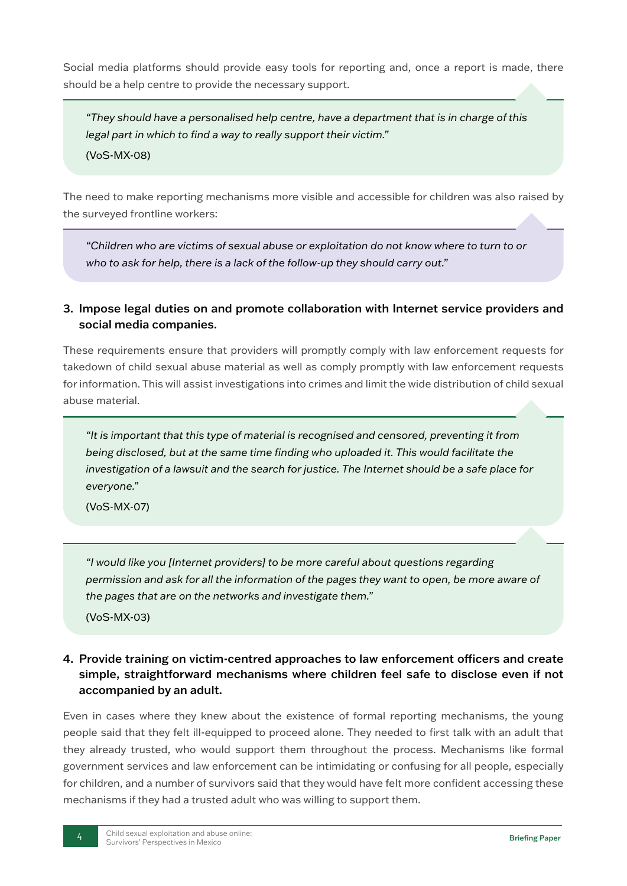Social media platforms should provide easy tools for reporting and, once a report is made, there should be a help centre to provide the necessary support.

*"They should have a personalised help centre, have a department that is in charge of this legal part in which to find a way to really support their victim."* 

(VoS-MX-08)

The need to make reporting mechanisms more visible and accessible for children was also raised by the surveyed frontline workers:

*"Children who are victims of sexual abuse or exploitation do not know where to turn to or who to ask for help, there is a lack of the follow-up they should carry out."*

#### 3. Impose legal duties on and promote collaboration with Internet service providers and social media companies.

These requirements ensure that providers will promptly comply with law enforcement requests for takedown of child sexual abuse material as well as comply promptly with law enforcement requests for information. This will assist investigations into crimes and limit the wide distribution of child sexual abuse material.

*"It is important that this type of material is recognised and censored, preventing it from being disclosed, but at the same time finding who uploaded it. This would facilitate the investigation of a lawsuit and the search for justice. The Internet should be a safe place for everyone."* 

(VoS-MX-07)

*"I would like you [Internet providers] to be more careful about questions regarding permission and ask for all the information of the pages they want to open, be more aware of the pages that are on the networks and investigate them."* 

(VoS-MX-03)

#### 4. Provide training on victim-centred approaches to law enforcement officers and create simple, straightforward mechanisms where children feel safe to disclose even if not accompanied by an adult.

Even in cases where they knew about the existence of formal reporting mechanisms, the young people said that they felt ill-equipped to proceed alone. They needed to first talk with an adult that they already trusted, who would support them throughout the process. Mechanisms like formal government services and law enforcement can be intimidating or confusing for all people, especially for children, and a number of survivors said that they would have felt more confident accessing these mechanisms if they had a trusted adult who was willing to support them.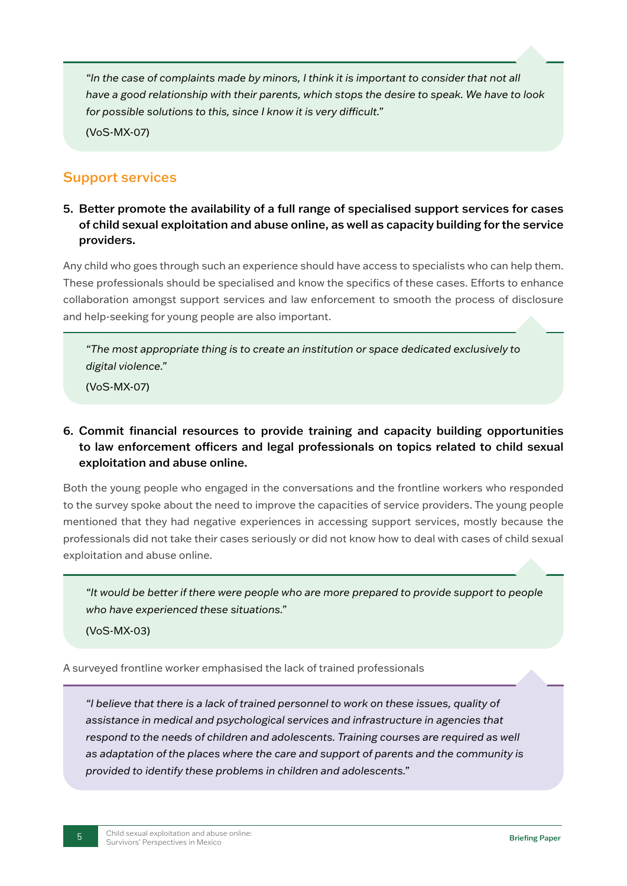*"In the case of complaints made by minors, I think it is important to consider that not all have a good relationship with their parents, which stops the desire to speak. We have to look for possible solutions to this, since I know it is very difficult."* 

(VoS-MX-07)

### Support services

5. Better promote the availability of a full range of specialised support services for cases of child sexual exploitation and abuse online, as well as capacity building for the service providers.

Any child who goes through such an experience should have access to specialists who can help them. These professionals should be specialised and know the specifics of these cases. Efforts to enhance collaboration amongst support services and law enforcement to smooth the process of disclosure and help-seeking for young people are also important.

*"The most appropriate thing is to create an institution or space dedicated exclusively to digital violence."* 

(VoS-MX-07)

#### 6. Commit financial resources to provide training and capacity building opportunities to law enforcement officers and legal professionals on topics related to child sexual exploitation and abuse online.

Both the young people who engaged in the conversations and the frontline workers who responded to the survey spoke about the need to improve the capacities of service providers. The young people mentioned that they had negative experiences in accessing support services, mostly because the professionals did not take their cases seriously or did not know how to deal with cases of child sexual exploitation and abuse online.

*"It would be better if there were people who are more prepared to provide support to people who have experienced these situations."* 

(VoS-MX-03)

A surveyed frontline worker emphasised the lack of trained professionals

*"I believe that there is a lack of trained personnel to work on these issues, quality of assistance in medical and psychological services and infrastructure in agencies that*  respond to the needs of children and adolescents. Training courses are required as well *as adaptation of the places where the care and support of parents and the community is provided to identify these problems in children and adolescents."*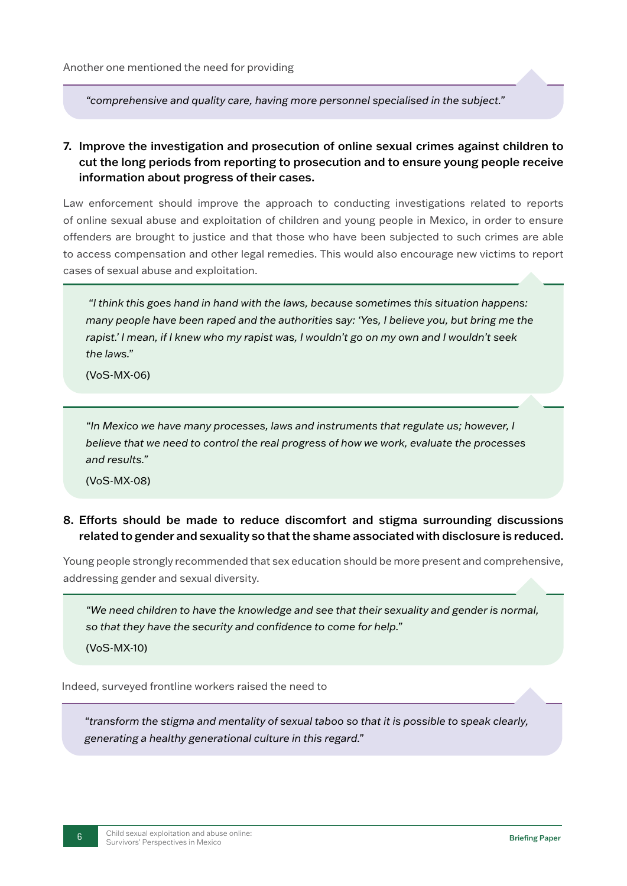*"comprehensive and quality care, having more personnel specialised in the subject."* 

#### 7. Improve the investigation and prosecution of online sexual crimes against children to cut the long periods from reporting to prosecution and to ensure young people receive information about progress of their cases.

Law enforcement should improve the approach to conducting investigations related to reports of online sexual abuse and exploitation of children and young people in Mexico, in order to ensure offenders are brought to justice and that those who have been subjected to such crimes are able to access compensation and other legal remedies. This would also encourage new victims to report cases of sexual abuse and exploitation.

 *"I think this goes hand in hand with the laws, because sometimes this situation happens: many people have been raped and the authorities say: 'Yes, I believe you, but bring me the rapist.' I mean, if I knew who my rapist was, I wouldn't go on my own and I wouldn't seek the laws."* 

(VoS-MX-06)

*"In Mexico we have many processes, laws and instruments that regulate us; however, I believe that we need to control the real progress of how we work, evaluate the processes and results."* 

(VoS-MX-08)

#### 8. Efforts should be made to reduce discomfort and stigma surrounding discussions related to gender and sexuality so that the shame associated with disclosure is reduced.

Young people strongly recommended that sex education should be more present and comprehensive, addressing gender and sexual diversity.

*"We need children to have the knowledge and see that their sexuality and gender is normal, so that they have the security and confidence to come for help."* 

(VoS-MX-10)

Indeed, surveyed frontline workers raised the need to

*"transform the stigma and mentality of sexual taboo so that it is possible to speak clearly, generating a healthy generational culture in this regard."*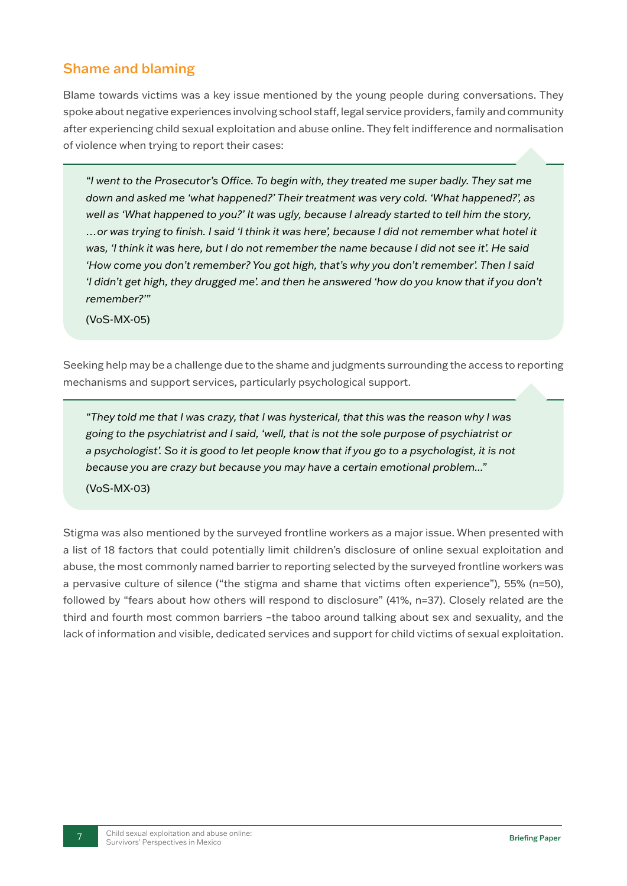### Shame and blaming

Blame towards victims was a key issue mentioned by the young people during conversations. They spoke about negative experiences involving school staff, legal service providers, family and community after experiencing child sexual exploitation and abuse online. They felt indifference and normalisation of violence when trying to report their cases:

*"I went to the Prosecutor's Office. To begin with, they treated me super badly. They sat me down and asked me 'what happened?' Their treatment was very cold. 'What happened?', as well as 'What happened to you?' It was ugly, because I already started to tell him the story, …or was trying to finish. I said 'I think it was here', because I did not remember what hotel it was, 'I think it was here, but I do not remember the name because I did not see it'. He said 'How come you don't remember? You got high, that's why you don't remember'. Then I said 'I didn't get high, they drugged me'. and then he answered 'how do you know that if you don't remember?'"* 

(VoS-MX-05)

Seeking help may be a challenge due to the shame and judgments surrounding the access to reporting mechanisms and support services, particularly psychological support.

*"They told me that I was crazy, that I was hysterical, that this was the reason why I was going to the psychiatrist and I said, 'well, that is not the sole purpose of psychiatrist or a psychologist'. So it is good to let people know that if you go to a psychologist, it is not because you are crazy but because you may have a certain emotional problem..."* 

(VoS-MX-03)

Stigma was also mentioned by the surveyed frontline workers as a major issue. When presented with a list of 18 factors that could potentially limit children's disclosure of online sexual exploitation and abuse, the most commonly named barrier to reporting selected by the surveyed frontline workers was a pervasive culture of silence ("the stigma and shame that victims often experience"), 55% (n=50), followed by "fears about how others will respond to disclosure" (41%, n=37). Closely related are the third and fourth most common barriers –the taboo around talking about sex and sexuality, and the lack of information and visible, dedicated services and support for child victims of sexual exploitation.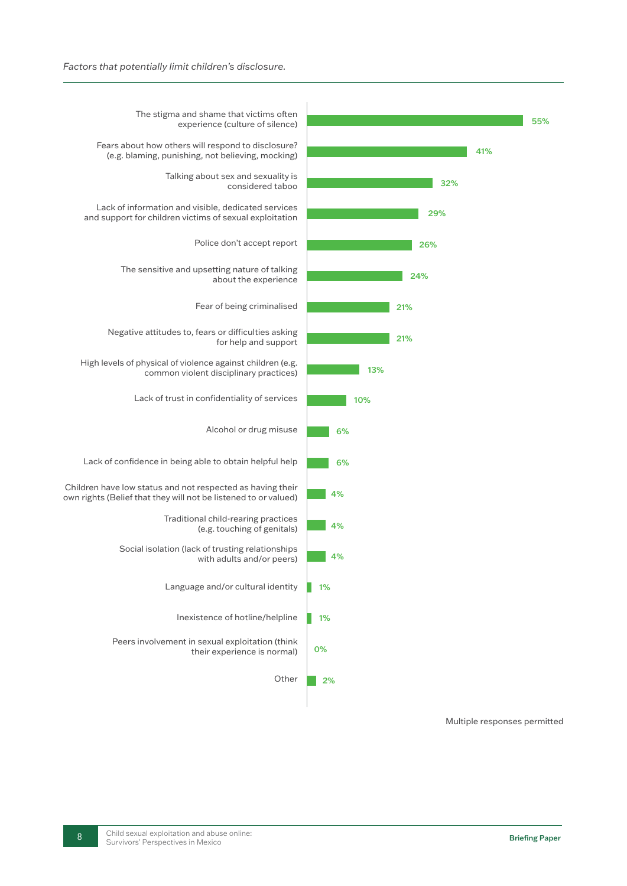

Multiple responses permitted